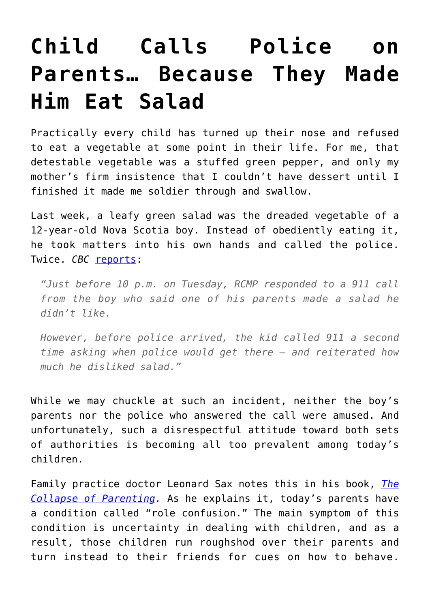## **[Child Calls Police on](https://intellectualtakeout.org/2018/06/child-calls-police-on-parents-because-they-made-him-eat-salad/) [Parents… Because They Made](https://intellectualtakeout.org/2018/06/child-calls-police-on-parents-because-they-made-him-eat-salad/) [Him Eat Salad](https://intellectualtakeout.org/2018/06/child-calls-police-on-parents-because-they-made-him-eat-salad/)**

Practically every child has turned up their nose and refused to eat a vegetable at some point in their life. For me, that detestable vegetable was a stuffed green pepper, and only my mother's firm insistence that I couldn't have dessert until I finished it made me soldier through and swallow.

Last week, a leafy green salad was the dreaded vegetable of a 12-year-old Nova Scotia boy. Instead of obediently eating it, he took matters into his own hands and called the police. Twice. *CBC* [reports:](http://www.cbc.ca/news/canada/nova-scotia/dislike-of-salad-not-a-good-reason-to-call-police-rcmp-say-1.4705640)

*"Just before 10 p.m. on Tuesday, RCMP responded to a 911 call from the boy who said one of his parents made a salad he didn't like.* 

*However, before police arrived, the kid called 911 a second time asking when police would get there — and reiterated how much he disliked salad."* 

While we may chuckle at such an incident, neither the boy's parents nor the police who answered the call were amused. And unfortunately, such a disrespectful attitude toward both sets of authorities is becoming all too prevalent among today's children.

Family practice doctor Leonard Sax notes this in his book, *[The](https://www.amazon.com/gp/product/0465094287/ref=as_li_qf_asin_il_tl?ie=UTF8&tag=intelltakeo0d-20&creative=9325&linkCode=as2&creativeASIN=0465094287&linkId=b9904c71c623cbaf6a259908cc7ccd08) [Collapse of Parenting](https://www.amazon.com/gp/product/0465094287/ref=as_li_qf_asin_il_tl?ie=UTF8&tag=intelltakeo0d-20&creative=9325&linkCode=as2&creativeASIN=0465094287&linkId=b9904c71c623cbaf6a259908cc7ccd08).* As he explains it, today's parents have a condition called "role confusion." The main symptom of this condition is uncertainty in dealing with children, and as a result, those children run roughshod over their parents and turn instead to their friends for cues on how to behave.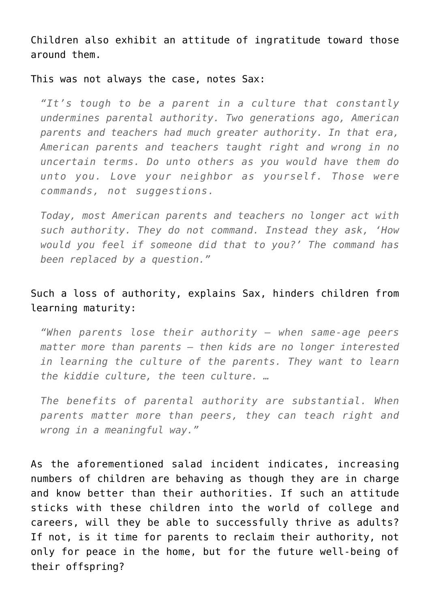Children also exhibit an attitude of ingratitude toward those around them.

This was not always the case, notes Sax:

*"It's tough to be a parent in a culture that constantly undermines parental authority. Two generations ago, American parents and teachers had much greater authority. In that era, American parents and teachers taught right and wrong in no uncertain terms. Do unto others as you would have them do unto you. Love your neighbor as yourself. Those were commands, not suggestions.*

*Today, most American parents and teachers no longer act with such authority. They do not command. Instead they ask, 'How would you feel if someone did that to you?' The command has been replaced by a question."*

## Such a loss of authority, explains Sax, hinders children from learning maturity:

*"When parents lose their authority – when same-age peers matter more than parents – then kids are no longer interested in learning the culture of the parents. They want to learn the kiddie culture, the teen culture. …*

*The benefits of parental authority are substantial. When parents matter more than peers, they can teach right and wrong in a meaningful way."*

As the aforementioned salad incident indicates, increasing numbers of children are behaving as though they are in charge and know better than their authorities. If such an attitude sticks with these children into the world of college and careers, will they be able to successfully thrive as adults? If not, is it time for parents to reclaim their authority, not only for peace in the home, but for the future well-being of their offspring?